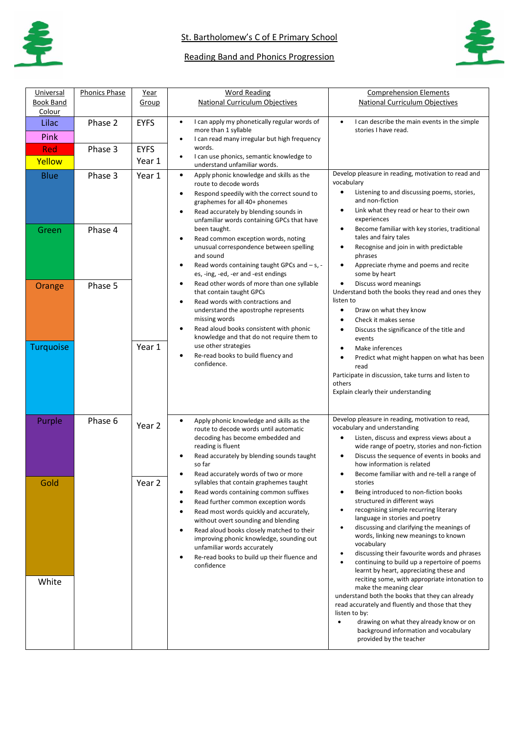

## Reading Band and Phonics Progression



| Universal<br><b>Book Band</b><br>Colour | <b>Phonics Phase</b> | Year<br>Group                        | <b>Word Reading</b><br><b>National Curriculum Objectives</b>                                                                                                                                                                                                                                                                                                                                                                                                    | <b>Comprehension Elements</b><br>National Curriculum Objectives                                                                                                                                                                                                                                                                                                                                                                                               |
|-----------------------------------------|----------------------|--------------------------------------|-----------------------------------------------------------------------------------------------------------------------------------------------------------------------------------------------------------------------------------------------------------------------------------------------------------------------------------------------------------------------------------------------------------------------------------------------------------------|---------------------------------------------------------------------------------------------------------------------------------------------------------------------------------------------------------------------------------------------------------------------------------------------------------------------------------------------------------------------------------------------------------------------------------------------------------------|
| Lilac<br>Pink<br>Red<br>Yellow          | Phase 2<br>Phase 3   | <b>EYFS</b><br><b>EYFS</b><br>Year 1 | I can apply my phonetically regular words of<br>$\bullet$<br>more than 1 syllable<br>I can read many irregular but high frequency<br>٠<br>words.<br>I can use phonics, semantic knowledge to<br>$\bullet$                                                                                                                                                                                                                                                       | I can describe the main events in the simple<br>$\bullet$<br>stories I have read.                                                                                                                                                                                                                                                                                                                                                                             |
| <b>Blue</b>                             | Phase 3              | Year 1                               | understand unfamiliar words.<br>Apply phonic knowledge and skills as the<br>$\bullet$<br>route to decode words<br>Respond speedily with the correct sound to<br>$\bullet$<br>graphemes for all 40+ phonemes<br>Read accurately by blending sounds in<br>$\bullet$                                                                                                                                                                                               | Develop pleasure in reading, motivation to read and<br>vocabulary<br>Listening to and discussing poems, stories,<br>and non-fiction<br>Link what they read or hear to their own<br>experiences                                                                                                                                                                                                                                                                |
| Green                                   | Phase 4              |                                      | unfamiliar words containing GPCs that have<br>been taught.<br>Read common exception words, noting<br>$\bullet$<br>unusual correspondence between spelling<br>and sound<br>Read words containing taught GPCs and - s, -<br>$\bullet$<br>es, -ing, -ed, -er and -est endings                                                                                                                                                                                      | Become familiar with key stories, traditional<br>$\bullet$<br>tales and fairy tales<br>Recognise and join in with predictable<br>phrases<br>Appreciate rhyme and poems and recite<br>$\bullet$<br>some by heart                                                                                                                                                                                                                                               |
| Orange                                  | Phase 5              |                                      | Read other words of more than one syllable<br>$\bullet$<br>that contain taught GPCs<br>Read words with contractions and<br>$\bullet$<br>understand the apostrophe represents<br>missing words<br>Read aloud books consistent with phonic<br>$\bullet$<br>knowledge and that do not require them to                                                                                                                                                              | Discuss word meanings<br>Understand both the books they read and ones they<br>listen to<br>$\bullet$<br>Draw on what they know<br>Check it makes sense<br>$\bullet$<br>Discuss the significance of the title and<br>$\bullet$<br>events                                                                                                                                                                                                                       |
| <b>Turquoise</b>                        |                      | Year 1                               | use other strategies<br>Re-read books to build fluency and<br>$\bullet$<br>confidence.                                                                                                                                                                                                                                                                                                                                                                          | Make inferences<br>Predict what might happen on what has been<br>read<br>Participate in discussion, take turns and listen to<br>others<br>Explain clearly their understanding                                                                                                                                                                                                                                                                                 |
| Purple                                  | Phase 6              | Year 2                               | Apply phonic knowledge and skills as the<br>$\bullet$<br>route to decode words until automatic<br>decoding has become embedded and<br>reading is fluent<br>Read accurately by blending sounds taught<br>so far<br>Read accurately words of two or more                                                                                                                                                                                                          | Develop pleasure in reading, motivation to read,<br>vocabulary and understanding<br>Listen, discuss and express views about a<br>wide range of poetry, stories and non-fiction<br>Discuss the sequence of events in books and<br>how information is related<br>Become familiar with and re-tell a range of                                                                                                                                                    |
| Gold                                    |                      | Year 2                               | syllables that contain graphemes taught<br>Read words containing common suffixes<br>$\bullet$<br>Read further common exception words<br>$\bullet$<br>Read most words quickly and accurately,<br>$\bullet$<br>without overt sounding and blending<br>Read aloud books closely matched to their<br>$\bullet$<br>improving phonic knowledge, sounding out<br>unfamiliar words accurately<br>Re-read books to build up their fluence and<br>$\bullet$<br>confidence | stories<br>Being introduced to non-fiction books<br>structured in different ways<br>recognising simple recurring literary<br>$\bullet$<br>language in stories and poetry<br>discussing and clarifying the meanings of<br>$\bullet$<br>words, linking new meanings to known<br>vocabulary<br>discussing their favourite words and phrases<br>$\bullet$<br>continuing to build up a repertoire of poems<br>$\bullet$<br>learnt by heart, appreciating these and |
| White                                   |                      |                                      |                                                                                                                                                                                                                                                                                                                                                                                                                                                                 | reciting some, with appropriate intonation to<br>make the meaning clear<br>understand both the books that they can already<br>read accurately and fluently and those that they<br>listen to by:<br>drawing on what they already know or on<br>$\bullet$<br>background information and vocabulary<br>provided by the teacher                                                                                                                                   |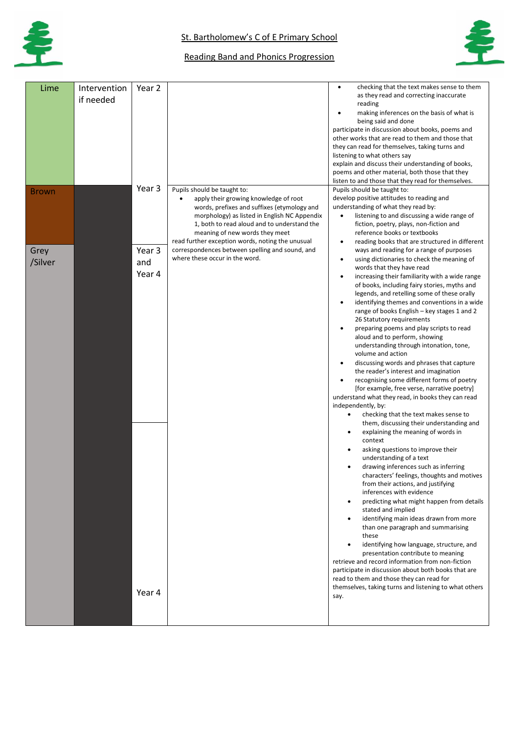

## 阜

## Reading Band and Phonics Progression

| Lime         | Intervention | Year 2 |                                                                               | checking that the text makes sense to them<br>$\bullet$                                          |
|--------------|--------------|--------|-------------------------------------------------------------------------------|--------------------------------------------------------------------------------------------------|
|              | if needed    |        |                                                                               | as they read and correcting inaccurate                                                           |
|              |              |        |                                                                               | reading<br>making inferences on the basis of what is<br>$\bullet$                                |
|              |              |        |                                                                               | being said and done                                                                              |
|              |              |        |                                                                               | participate in discussion about books, poems and                                                 |
|              |              |        |                                                                               | other works that are read to them and those that                                                 |
|              |              |        |                                                                               | they can read for themselves, taking turns and                                                   |
|              |              |        |                                                                               | listening to what others say<br>explain and discuss their understanding of books,                |
|              |              |        |                                                                               | poems and other material, both those that they                                                   |
|              |              |        |                                                                               | listen to and those that they read for themselves.                                               |
| <b>Brown</b> |              | Year 3 | Pupils should be taught to:                                                   | Pupils should be taught to:                                                                      |
|              |              |        | apply their growing knowledge of root                                         | develop positive attitudes to reading and                                                        |
|              |              |        | words, prefixes and suffixes (etymology and                                   | understanding of what they read by:                                                              |
|              |              |        | morphology) as listed in English NC Appendix                                  | listening to and discussing a wide range of<br>$\bullet$                                         |
|              |              |        | 1, both to read aloud and to understand the<br>meaning of new words they meet | fiction, poetry, plays, non-fiction and<br>reference books or textbooks                          |
|              |              |        | read further exception words, noting the unusual                              | reading books that are structured in different<br>$\bullet$                                      |
| Grey         |              | Year 3 | correspondences between spelling and sound, and                               | ways and reading for a range of purposes                                                         |
| /Silver      |              | and    | where these occur in the word.                                                | using dictionaries to check the meaning of<br>$\bullet$                                          |
|              |              |        |                                                                               | words that they have read                                                                        |
|              |              | Year 4 |                                                                               | increasing their familiarity with a wide range<br>$\bullet$                                      |
|              |              |        |                                                                               | of books, including fairy stories, myths and<br>legends, and retelling some of these orally      |
|              |              |        |                                                                               | identifying themes and conventions in a wide                                                     |
|              |              |        |                                                                               | range of books English – key stages 1 and 2                                                      |
|              |              |        |                                                                               | 26 Statutory requirements                                                                        |
|              |              |        |                                                                               | preparing poems and play scripts to read                                                         |
|              |              |        |                                                                               | aloud and to perform, showing                                                                    |
|              |              |        |                                                                               | understanding through intonation, tone,<br>volume and action                                     |
|              |              |        |                                                                               | discussing words and phrases that capture<br>$\bullet$                                           |
|              |              |        |                                                                               | the reader's interest and imagination                                                            |
|              |              |        |                                                                               | recognising some different forms of poetry                                                       |
|              |              |        |                                                                               | [for example, free verse, narrative poetry]<br>understand what they read, in books they can read |
|              |              |        |                                                                               | independently, by:                                                                               |
|              |              |        |                                                                               | checking that the text makes sense to<br>$\bullet$                                               |
|              |              |        |                                                                               | them, discussing their understanding and                                                         |
|              |              |        |                                                                               | explaining the meaning of words in<br>context                                                    |
|              |              |        |                                                                               | asking questions to improve their                                                                |
|              |              |        |                                                                               | understanding of a text                                                                          |
|              |              |        |                                                                               | drawing inferences such as inferring                                                             |
|              |              |        |                                                                               | characters' feelings, thoughts and motives                                                       |
|              |              |        |                                                                               | from their actions, and justifying<br>inferences with evidence                                   |
|              |              |        |                                                                               | predicting what might happen from details                                                        |
|              |              |        |                                                                               | stated and implied                                                                               |
|              |              |        |                                                                               | identifying main ideas drawn from more                                                           |
|              |              |        |                                                                               | than one paragraph and summarising                                                               |
|              |              |        |                                                                               | these                                                                                            |
|              |              |        |                                                                               | identifying how language, structure, and<br>presentation contribute to meaning                   |
|              |              |        |                                                                               | retrieve and record information from non-fiction                                                 |
|              |              |        |                                                                               | participate in discussion about both books that are                                              |
|              |              |        |                                                                               | read to them and those they can read for                                                         |
|              |              | Year 4 |                                                                               | themselves, taking turns and listening to what others                                            |
|              |              |        |                                                                               | say.                                                                                             |
|              |              |        |                                                                               |                                                                                                  |
|              |              |        |                                                                               |                                                                                                  |